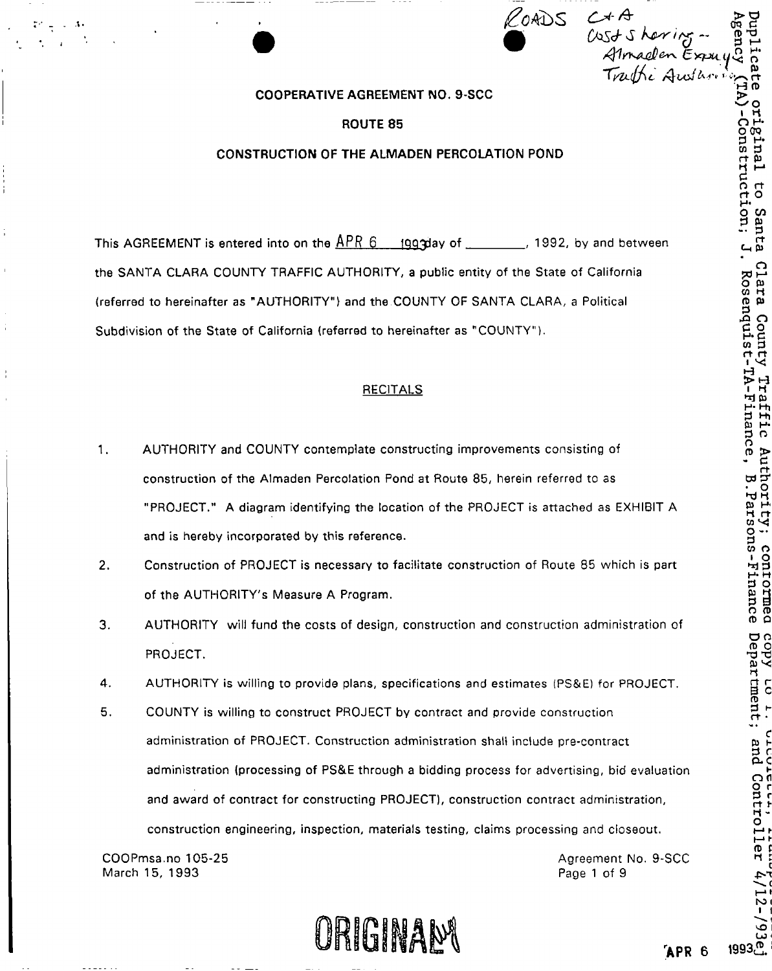ROADS *C\* \* QQ CMS^S hyr trg* ~  $\psi$  where  $\tilde{\mathcal{F}}$ 

## **COOPERATIVE AGREEMENT NO. 9-SCC**

## **ROUTE 85**

## **CONSTRUCTION OF THE ALMADEN PERCOLATION POND**

This AGREEMENT is entered into on the  $\frac{\text{APR}}{\text{OPR}}$  6 1993 and 1992, by and between the SANTA CLARA COUNTY TRAFFIC AUTHORITY, a public entity of the State of California (referred to hereinafter as "AUTHORITY") and the COUNTY OF SANTA CLARA, a Political Subdivision of the State of California {referred to hereinafter as "COUNTY").

# RECITALS

- 1. AUTHORITY and COUNTY contemplate constructing improvements consisting of construction of the Almaden Percolation Pond at Route 85, herein referred to as "PROJECT." A diagram identifying the location of the PROJECT is attached as EXHIBIT A and is hereby incorporated by this reference.
- 2. Construction of PROJECT is necessary to facilitate construction of Route 85 which is part of the AUTHORITY'S Measure A Program.
- 3. AUTHORITY will fund the costs of design, construction and construction administration of PROJECT.
- 4. AUTHORITY is willing to provide plans, specifications and estimates (PS&E) for PROJECT.
- 5. COUNTY is willing to construct PROJECT by contract and provide construction administration of PROJECT. Construction administration shall include pre-contract administration (processing of PS&E through a bidding process for advertising, bid evaluation and award of contract for constructing PROJECT), construction contract administration, construction engineering, inspection, materials testing, claims processing and closeout.

COOPmsa.no 105-25 March 15, 1993

Agreement No. 9-SCC Page 1 of 9

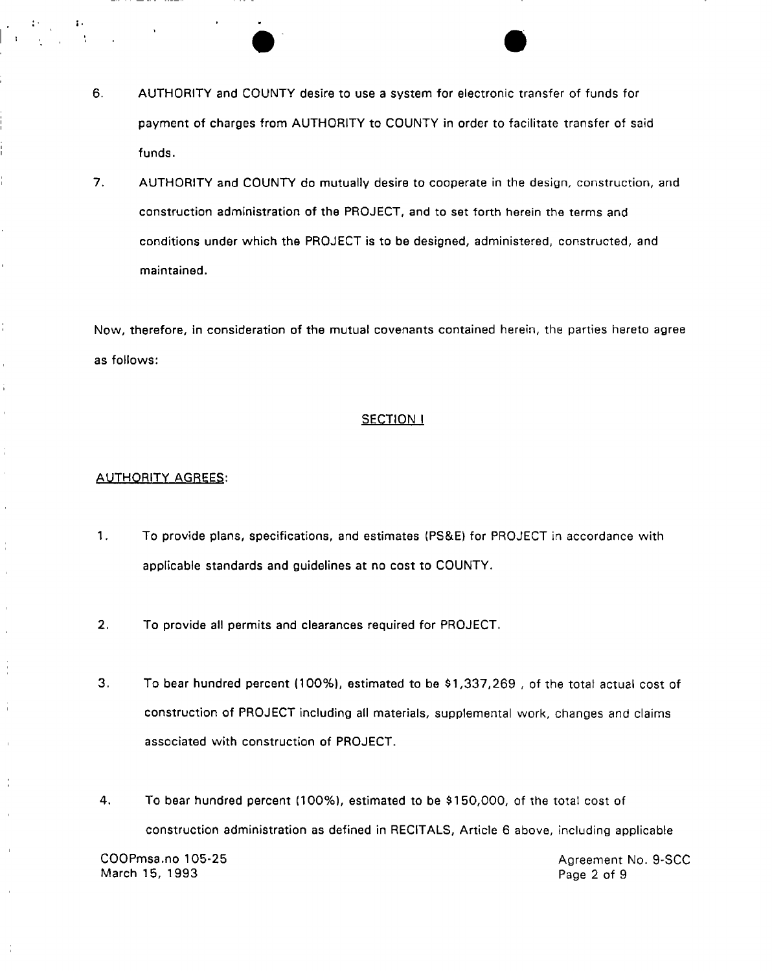- 6. AUTHORITY and COUNTY desire to use a system for electronic transfer of funds for payment of charges from AUTHORITY to COUNTY in order to facilitate transfer of said funds.
- 7. AUTHORITY and COUNTY do mutually desire to cooperate in the design, construction, and construction administration of the PROJECT, and to set forth herein the terms and conditions under which the PROJECT is to be designed, administered, constructed, and maintained.

Now, therefore, in consideration of the mutual covenants contained herein, the parties hereto agree as follows:

## **SECTION I**

#### **AUTHORITY AGREES:**

Ť.

 $\bar{\Gamma}$  $\frac{1}{1}$  $\bar{\Gamma}$ 

 $\bar{1}$ 

- 1. To provide plans, specifications, and estimates (PS&E) for PROJECT in accordance with applicable standards and guidelines at no cost to COUNTY.
- 2. To provide all permits and clearances required for PROJECT.
- 3. To bear hundred percent (100%), estimated to be \$1,337,269 , of the total actual cost of construction of PROJECT including all materials, supplemental work, changes and claims associated with construction of PROJECT.
- 4. To bear hundred percent (100%), estimated to be \$150,000, of the total cost of construction administration as defined in RECITALS, Article 6 above, including applicable

March 15, 1993 Page 2 of 9

COOPmsa.no 105-25 Agreement No. 9-SCC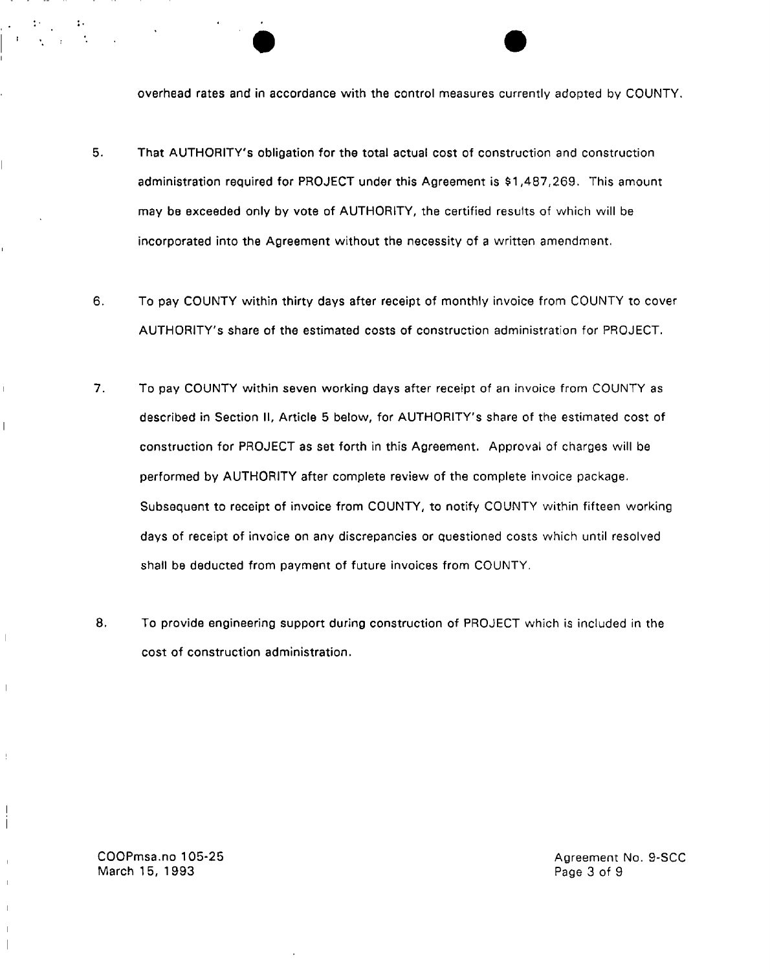overhead rates and in accordance with the control measures currently adopted by COUNTY.

- 5. That AUTHORITY'S obligation for the total actual cost of construction and construction administration required for PROJECT under this Agreement is \$1,487,269. This amount may be exceeded only by vote of AUTHORITY, the certified results of which will be incorporated into the Agreement without the necessity of a written amendment.
- 6. To pay COUNTY within thirty days after receipt of monthly invoice from COUNTY to cover AUTHORITY'S share of the estimated costs of construction administration for PROJECT.
- 7. To pay COUNTY within seven working days after receipt of an invoice from COUNTY as described in Section II, Article 5 below, for AUTHORITY'S share of the estimated cost of construction for PROJECT as set forth in this Agreement. Approval of charges will be performed by AUTHORITY after complete review of the complete invoice package. Subsequent to receipt of invoice from COUNTY, to notify COUNTY within fifteen working days of receipt of invoice on any discrepancies or questioned costs which until resolved shall be deducted from payment of future invoices from COUNTY.
- 8. To provide engineering support during construction of PROJECT which is included in the cost of construction administration.

COOPmsa.no 105-25 March 15, 1993

 $\overline{\phantom{a}}$ 

 $\overline{\phantom{a}}$ 

Agreement No. 9-SCC Page 3 of 9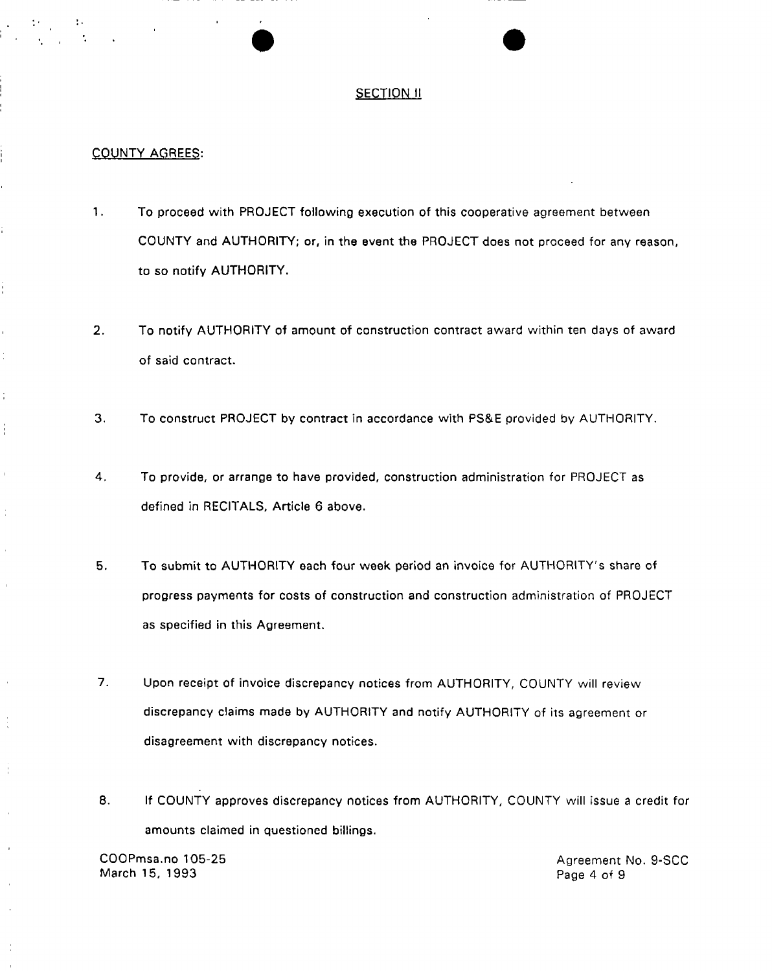## **SECTION II**

#### COUNTY AGREES:

÷

Ť.

 $\mathbb{I}$ 

Ĵ,

 $\mathbf{I}$ 

- 1. To proceed with PROJECT following execution of this cooperative agreement between COUNTY and AUTHORITY; or, in the event the PROJECT does not proceed for any reason, to so notify AUTHORITY.
- 2. To notify AUTHORITY of amount of construction contract award within ten days of award of said contract.
- 3. To construct PROJECT by contract in accordance with PS&E provided by AUTHORITY.
- 4. To provide, or arrange to have provided, construction administration for PROJECT as defined in RECITALS, Article 6 above.
- 5. To submit to AUTHORITY each four week period an invoice for AUTHORITY'S share of progress payments for costs of construction and construction administration of PROJECT as specified in this Agreement.
- 7. Upon receipt of invoice discrepancy notices from AUTHORITY, COUNTY will review discrepancy claims made by AUTHORITY and notify AUTHORITY of its agreement or disagreement with discrepancy notices.
- 8. If COUNTY approves discrepancy notices from AUTHORITY, COUNTY will issue a credit for amounts claimed in questioned billings.

COOPmsa.no 105-25 Agreement No. 9-SCC March 15, 1993 **Page 4 of 9**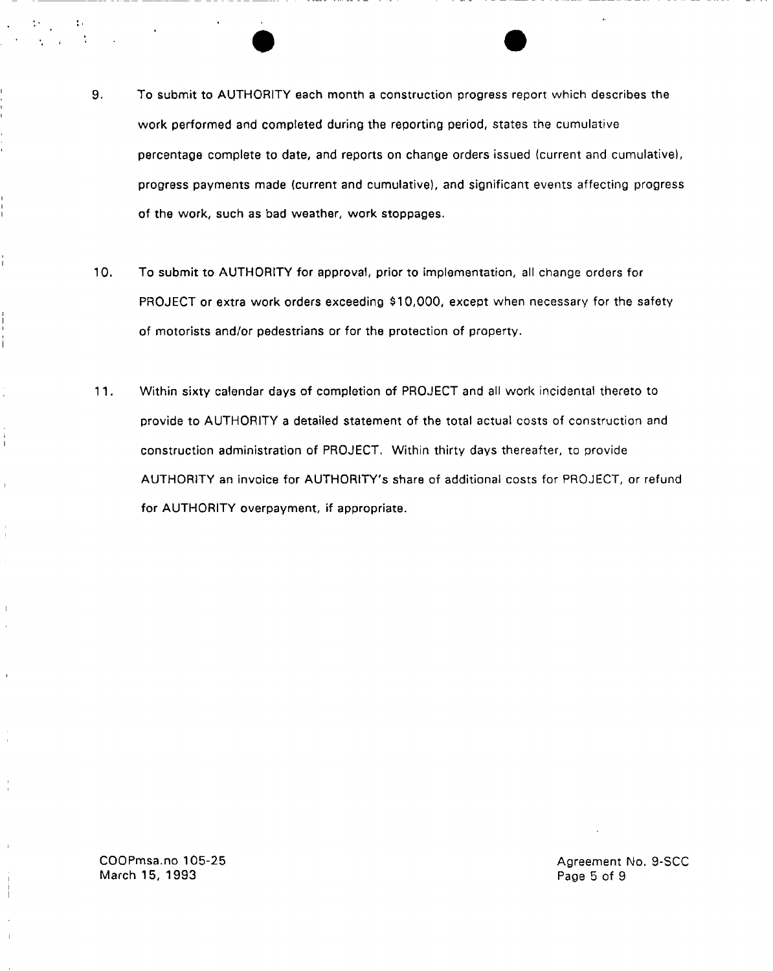- 9. To submit to AUTHORITY each month a construction progress report which describes the work performed and completed during the reporting period, states the cumulative percentage complete to date, and reports on change orders issued (current and cumulative), progress payments made (current and cumulative), and significant events affecting progress of the work, such as bad weather, work stoppages.
- 10. To submit to AUTHORITY for approval, prior to implementation, all change orders for PROJECT or extra work orders exceeding \$10,000, except when necessary for the safety of motorists and/or pedestrians or for the protection of property.
- 11. Within sixty calendar days of completion of PROJECT and all work incidental thereto to provide to AUTHORITY a detailed statement of the total actual costs of construction and construction administration of PROJECT. Within thirty days thereafter, to provide AUTHORITY an invoice for AUTHORITY'S share of additional costs for PROJECT, or refund for AUTHORITY overpayment, if appropriate.

COOPmsa.no 105-25 March 15, 1993

Î

Agreement No. 9-SCC Page 5 of 9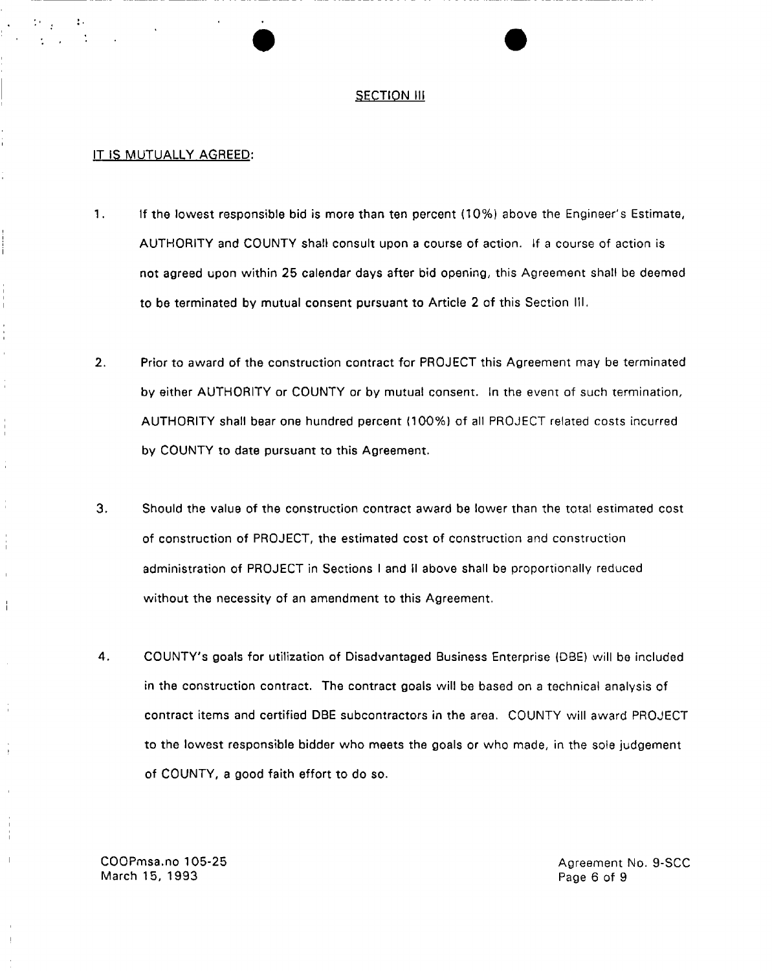#### **SECTION III**

#### IT IS MUTUALLY AGREED:

- 1. If the lowest responsible bid is more than ten percent (10%) above the Engineer's Estimate, AUTHORITY and COUNTY shall consult upon a course of action. If a course of action is not agreed upon within 25 calendar days after bid opening, this Agreement shall be deemed to be terminated by mutual consent pursuant to Article 2 of this Section III.
- 2. Prior to award of the construction contract for PROJECT this Agreement may be terminated by either AUTHORITY or COUNTY or by mutual consent. In the event of such termination, AUTHORITY shall bear one hundred percent (100%) of all PROJECT related costs incurred by COUNTY to date pursuant to this Agreement.
- 3. Should the value of the construction contract award be lower than the total estimated cost of construction of PROJECT, the estimated cost of construction and construction administration of PROJECT in Sections I and II above shall be proportionally reduced without the necessity of an amendment to this Agreement.
- 4. COUNTY'S goals for utilization of Disadvantaged Business Enterprise {DBE) will be included in the construction contract. The contract goals will be based on a technical analysis of contract items and certified DBE subcontractors in the area. COUNTY will award PROJECT to the lowest responsible bidder who meets the goals or who made, in the sole judgement of COUNTY, a good faith effort to do so.

COOPmsa.no 105-25 March 15, 1993

Ť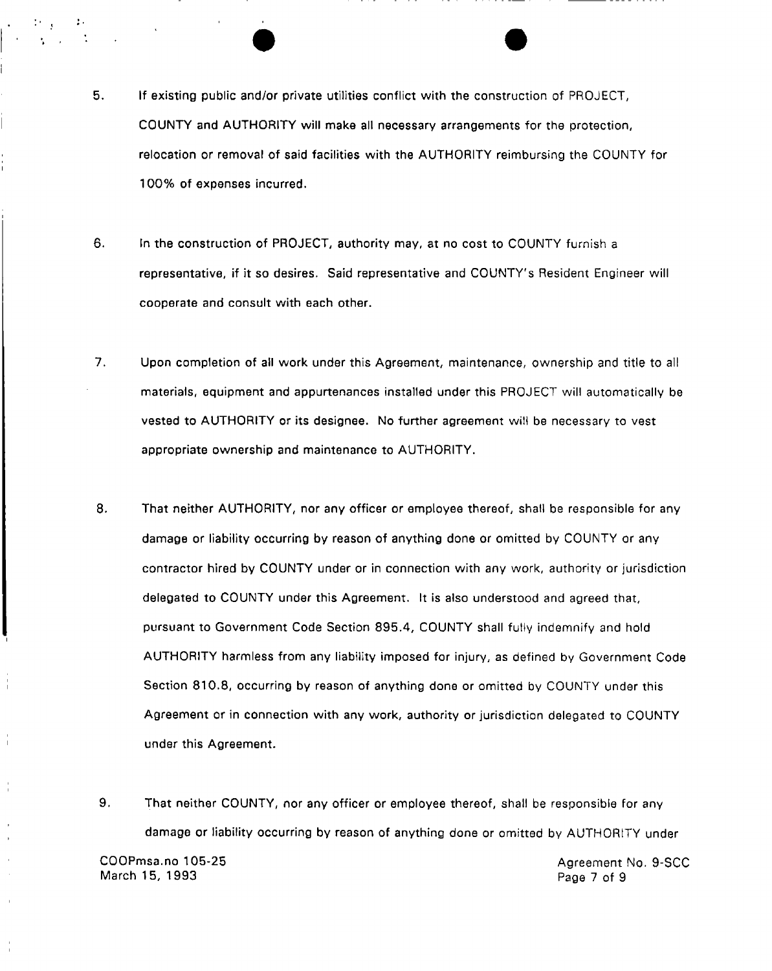- 5. If existing public and/or private utilities conflict with the construction of PROJECT, COUNTY and AUTHORITY will make all necessary arrangements for the protection, relocation or removal of said facilities with the AUTHORITY reimbursing the COUNTY for 100% of expenses incurred.
- 6. In the construction of PROJECT, authority may, at no cost to COUNTY furnish a representative, if it so desires. Said representative and COUNTY'S Resident Engineer will cooperate and consult with each other.
- 7. Upon completion of ail work under this Agreement, maintenance, ownership and title to all materials, equipment and appurtenances installed under this PROJECT will automatically be vested to AUTHORITY or its designee. No further agreement will be necessary to vest appropriate ownership and maintenance to AUTHORITY.
- 8. That neither AUTHORITY, nor any officer or employee thereof, shall be responsible for any damage or liability occurring by reason of anything done or omitted by COUNTY or any contractor hired by COUNTY under or in connection with any work, authority or jurisdiction delegated to COUNTY under this Agreement. It is also understood and agreed that, pursuant to Government Code Section 895.4, COUNTY shall fully indemnify and hold AUTHORITY harmless from any liability imposed for injury, as defined by Government Code Section 810.8, occurring by reason of anything done or omitted by COUNTY under this Agreement or in connection with any work, authority or jurisdiction delegated to COUNTY under this Agreement.
- 9. That neither COUNTY, nor any officer or employee thereof, shall be responsible for any damage or liability occurring by reason of anything done or omitted by AUTHORITY under COOPmsa.no 105-25 Agreement No. 9-SCC March 15, 1993 **Page 7 of 9**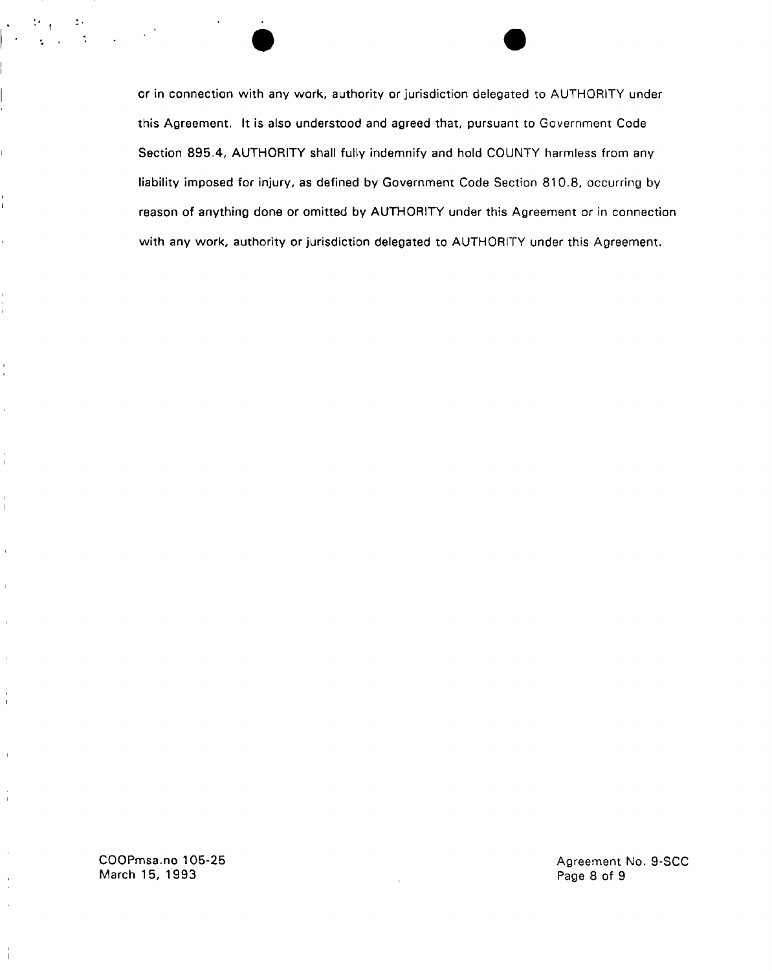or in connection with any work, authority or jurisdiction delegated to AUTHORITY under this Agreement. It is also understood and agreed that, pursuant to Government Code Section 895.4, AUTHORITY shall fully indemnify and hold COUNTY harmless from any liability imposed for injury, as defined by Government Code Section 810.8, occurring by reason of anything done or omitted by AUTHORITY under this Agreement or in connection with any work, authority or jurisdiction delegated to AUTHORITY under this Agreement.

COOPmsa.no 105-25 March 15, 1993

I.

 $\hat{\mathbf{r}}$ 

 $\overline{1}$ 

 $\mathbb{I}$ 

 $\overline{1}$ 

 $\frac{1}{1}$ 

 $\bar{a}$ 

Agreement No. 9-SCC Page 8 of 9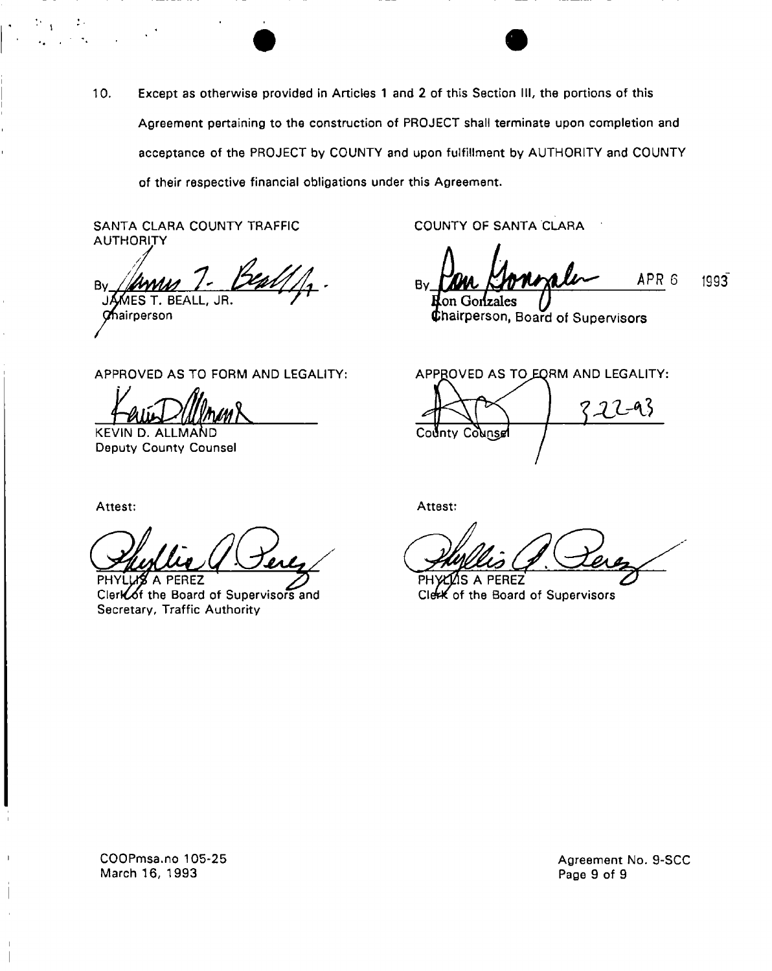10. Except as otherwise provided in Articles 1 and 2 of this Section III, the portions of this Agreement pertaining to the construction of PROJECT shall terminate upon completion and acceptance of the PROJECT by COUNTY and upon fulfillment by AUTHORITY and COUNTY of their respective financial obligations under this Agreement.

SANTA CLARA COUNTY TRAFFIC **AUTHORITY** 

B٧ MES T. BEALL **Chairperson** 

COUNTY OF SANTA CLARA

APR 6 1993" By Ion Gonzales

**Chairperson, Board of Supervisors** 

APPROVED AS TO FORM AND LEGALITY:

**tak** 

KEVIN D. ALLMAND Deputy County Counsel

APPROVED AS TO EQRM AND LEGALITY:  $22 - 93$ County Counsel

Attest:

÷.

PHYLLIS A PEREZ Clerloof the Board of Supervisors and Secretary, Traffic Authority

Attest:

PHYCLOS A PEREZ **CIctk** of the Board of Supervisors

COOPmsa.no 105-25 March 15, 1993

Agreement No. 9-SCC Page 9 of 9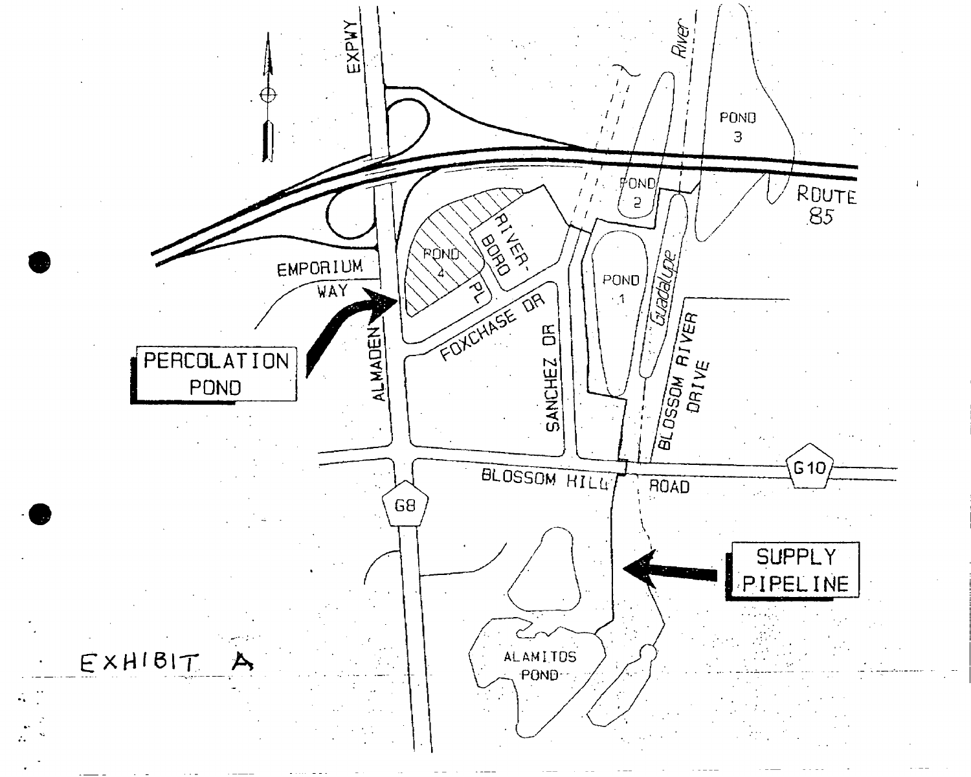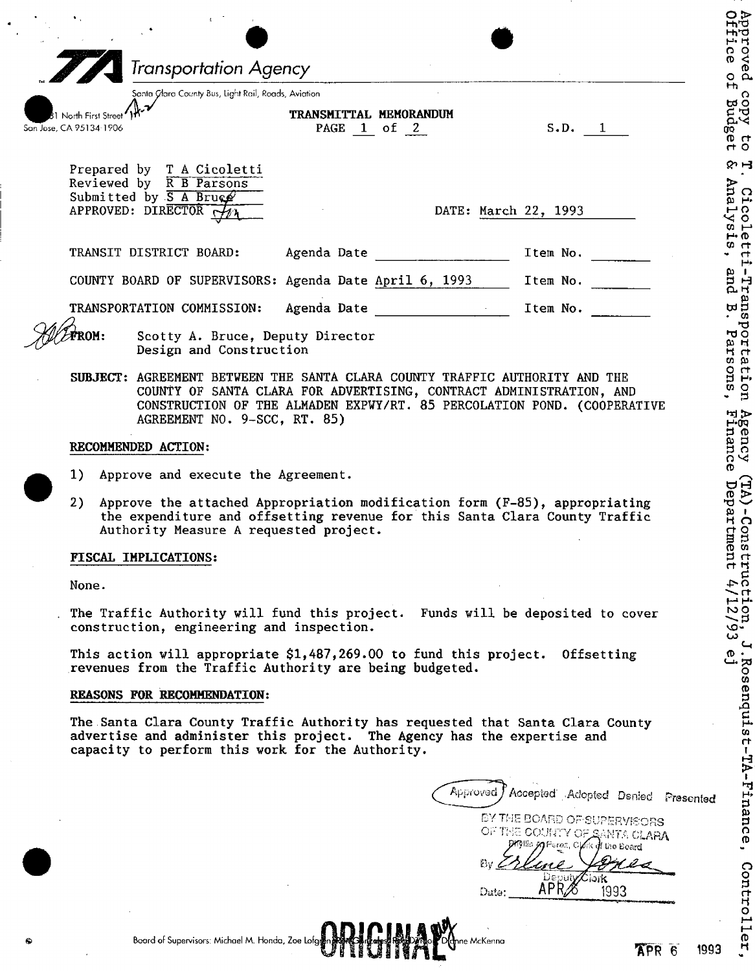|                                                 |                                                                                                                                                                                                    |                     | <b>Transportation Agency</b>                                                                                                           |                                                         |             |                                                                                                                                                                                                                               |  |
|-------------------------------------------------|----------------------------------------------------------------------------------------------------------------------------------------------------------------------------------------------------|---------------------|----------------------------------------------------------------------------------------------------------------------------------------|---------------------------------------------------------|-------------|-------------------------------------------------------------------------------------------------------------------------------------------------------------------------------------------------------------------------------|--|
| 1 North First Street<br>San Jose, CA 95134-1906 |                                                                                                                                                                                                    |                     | Santa Glara County Bus, Light Rail, Roads, Aviation                                                                                    | TRANSMITTAL MEMORANDUM<br>PAGE 1 of 2                   |             | S.D. 1                                                                                                                                                                                                                        |  |
|                                                 |                                                                                                                                                                                                    |                     | Prepared by T A Cicoletti<br>Reviewed by R B Parsons<br>Submitted by $S$ A Brugg<br>APPROVED: DIRECTOR $\overrightarrow{A\mathcal{U}}$ |                                                         |             | DATE: March 22, 1993                                                                                                                                                                                                          |  |
|                                                 |                                                                                                                                                                                                    |                     | TRANSIT DISTRICT BOARD:                                                                                                                |                                                         | Agenda Date | Item No.                                                                                                                                                                                                                      |  |
|                                                 |                                                                                                                                                                                                    |                     |                                                                                                                                        | COUNTY BOARD OF SUPERVISORS: Agenda Date April 6, 1993  |             | Item No.                                                                                                                                                                                                                      |  |
|                                                 |                                                                                                                                                                                                    |                     | TRANSPORTATION COMMISSION:                                                                                                             |                                                         |             |                                                                                                                                                                                                                               |  |
| ROM:                                            |                                                                                                                                                                                                    |                     | Design and Construction                                                                                                                | Scotty A. Bruce, Deputy Director                        |             |                                                                                                                                                                                                                               |  |
|                                                 |                                                                                                                                                                                                    |                     | AGREEMENT NO. 9-SCC, RT. 85)                                                                                                           |                                                         |             | SUBJECT: AGREEMENT BETWEEN THE SANTA CLARA COUNTY TRAFFIC AUTHORITY AND THE<br>COUNTY OF SANTA CLARA FOR ADVERTISING, CONTRACT ADMINISTRATION, AND<br>CONSTRUCTION OF THE ALMADEN EXPWY/RT. 85 PERCOLATION POND. (COOPERATIVE |  |
|                                                 |                                                                                                                                                                                                    | RECOMMENDED ACTION: |                                                                                                                                        |                                                         |             |                                                                                                                                                                                                                               |  |
|                                                 |                                                                                                                                                                                                    |                     | 1) Approve and execute the Agreement.                                                                                                  |                                                         |             |                                                                                                                                                                                                                               |  |
| 2)                                              | Approve the attached Appropriation modification form (F-85), appropriating<br>the expenditure and offsetting revenue for this Santa Clara County Traffic<br>Authority Measure A requested project. |                     |                                                                                                                                        |                                                         |             |                                                                                                                                                                                                                               |  |
|                                                 | FISCAL IMPLICATIONS:                                                                                                                                                                               |                     |                                                                                                                                        |                                                         |             |                                                                                                                                                                                                                               |  |
|                                                 | None.                                                                                                                                                                                              |                     |                                                                                                                                        |                                                         |             |                                                                                                                                                                                                                               |  |
|                                                 |                                                                                                                                                                                                    |                     |                                                                                                                                        | construction, engineering and inspection.               |             | The Traffic Authority will fund this project. Funds will be deposited to cover                                                                                                                                                |  |
|                                                 |                                                                                                                                                                                                    |                     |                                                                                                                                        | revenues from the Traffic Authority are being budgeted. |             | This action will appropriate \$1,487,269.00 to fund this project. Offsetting                                                                                                                                                  |  |
|                                                 | REASONS FOR RECOMMENDATION:                                                                                                                                                                        |                     |                                                                                                                                        |                                                         |             |                                                                                                                                                                                                                               |  |
|                                                 |                                                                                                                                                                                                    |                     |                                                                                                                                        | capacity to perform this work for the Authority.        |             | The Santa Clara County Traffic Authority has requested that Santa Clara County<br>advertise and administer this project. The Agency has the expertise and                                                                     |  |
|                                                 |                                                                                                                                                                                                    |                     |                                                                                                                                        |                                                         |             | Approved <i>J</i> Accepted Adopted Denied Presented                                                                                                                                                                           |  |
|                                                 |                                                                                                                                                                                                    |                     |                                                                                                                                        |                                                         |             | BY THE BOARD OF SUPERVISORS<br>OF THE COUNTY OF SANTA CLARA<br>Argillo M Perez, Clark of the Board<br>$Bv \n\subset$                                                                                                          |  |
|                                                 |                                                                                                                                                                                                    |                     |                                                                                                                                        |                                                         |             | Deput <b>y∕C¦ark</b>                                                                                                                                                                                                          |  |

 $(TA)$ -Construction, J.Rosenquist-TA-Finance, Controller,<br>
a Department  $4/12/93$  ej

o j H» CO

٥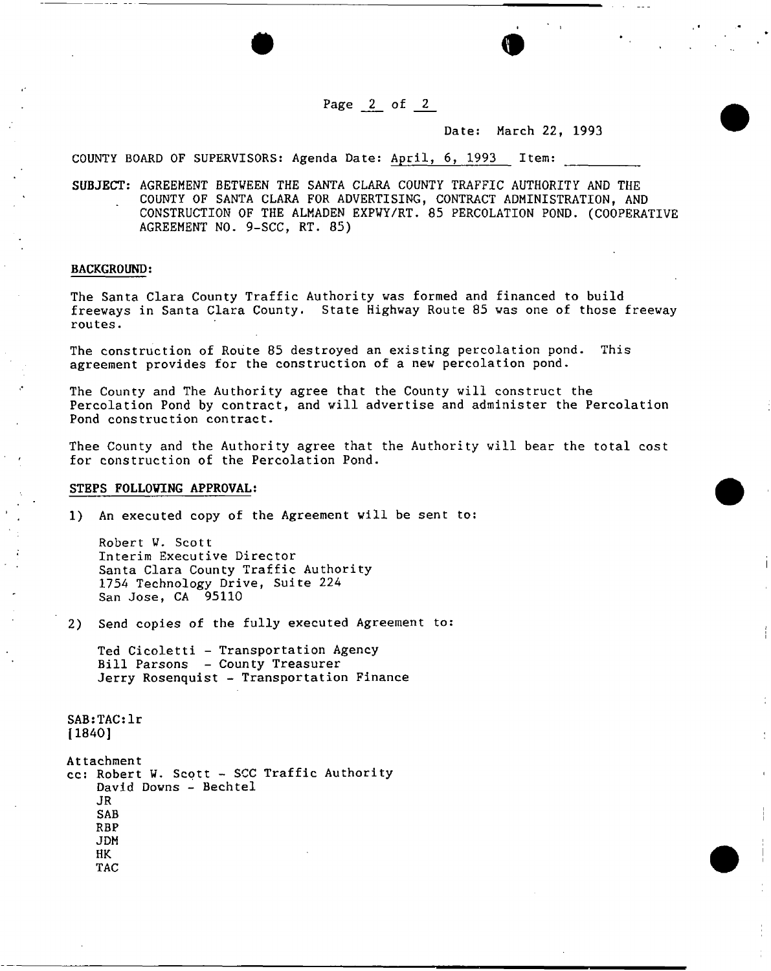Page \_2\_ of *2* 

 $\bullet$   $\bullet$ 

Date: March 22, 1993

COUNTY BOARD OF SUPERVISORS: Agenda Date: April, 6, 1993 Item:

SUBJECT: AGREEMENT BETWEEN THE SANTA CLARA COUNTY TRAFFIC AUTHORITY AND THE COUNTY OF SANTA CLARA FOR ADVERTISING, CONTRACT ADMINISTRATION, AND CONSTRUCTION OF THE ALMADEN EXPWY/RT. 85 PERCOLATION POND. (COOPERATIVE AGREEMENT NO. 9-SCC, RT. 85)

#### **BACKGROUND:**

The Santa Clara County Traffic Authority was formed and financed to build freeways in Santa Clara County. State Highway Route 85 was one of those freeway routes.

The construction of Route 85 destroyed an existing percolation pond. This agreement provides for the construction of a new percolation pond.

The County and The Authority agree that the County will construct the Percolation Pond by contract, and will advertise and administer the Percolation Pond construction contract.

Thee County and the Authority agree that the Authority will bear the total cost for construction of the Percolation Pond.

#### **STEPS FOLLOWING APPROVAL:**

1) An executed copy of the Agreement will be sent to:

Robert V. Scott Interim Executive Director Santa Clara County Traffic Authority 1754 Technology Drive, Suite 224 San Jose, CA 95110

2) Send copies of the fully executed Agreement to:

Ted Cicoletti - Transportation Agency Bill Parsons - County Treasurer Jerry Rosenquist - Transportation Finance

SAB:TAC:lr [1840]

Attachment cc: Robert W. Scott - SCC Traffic Authority David Downs - Bechtel JR SAB RBP J DM HK TAC